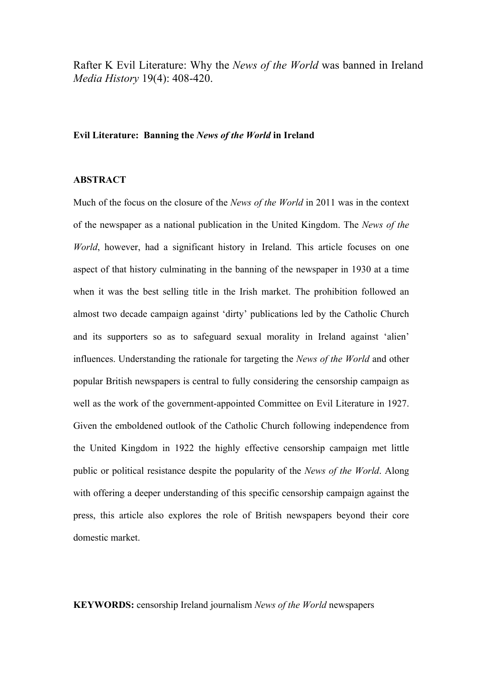Rafter K Evil Literature: Why the *News of the World* was banned in Ireland *Media History* 19(4): 408-420.

## **Evil Literature: Banning the** *News of the World* **in Ireland**

## **ABSTRACT**

Much of the focus on the closure of the *News of the World* in 2011 was in the context of the newspaper as a national publication in the United Kingdom. The *News of the World*, however, had a significant history in Ireland. This article focuses on one aspect of that history culminating in the banning of the newspaper in 1930 at a time when it was the best selling title in the Irish market. The prohibition followed an almost two decade campaign against 'dirty' publications led by the Catholic Church and its supporters so as to safeguard sexual morality in Ireland against 'alien' influences. Understanding the rationale for targeting the *News of the World* and other popular British newspapers is central to fully considering the censorship campaign as well as the work of the government-appointed Committee on Evil Literature in 1927. Given the emboldened outlook of the Catholic Church following independence from the United Kingdom in 1922 the highly effective censorship campaign met little public or political resistance despite the popularity of the *News of the World*. Along with offering a deeper understanding of this specific censorship campaign against the press, this article also explores the role of British newspapers beyond their core domestic market.

## **KEYWORDS:** censorship Ireland journalism *News of the World* newspapers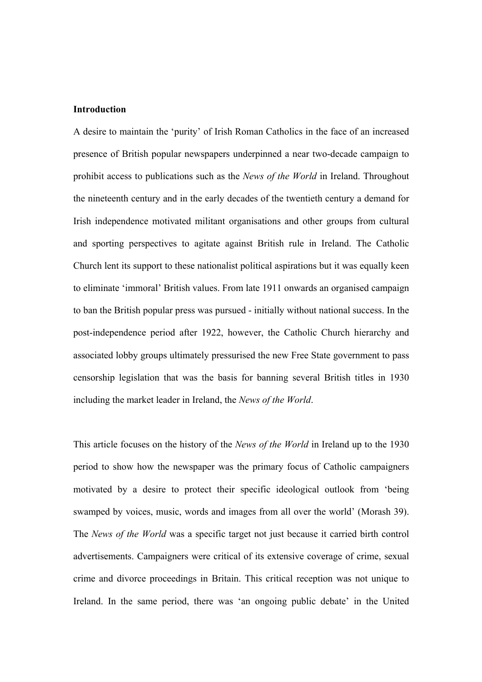## **Introduction**

A desire to maintain the 'purity' of Irish Roman Catholics in the face of an increased presence of British popular newspapers underpinned a near two-decade campaign to prohibit access to publications such as the *News of the World* in Ireland. Throughout the nineteenth century and in the early decades of the twentieth century a demand for Irish independence motivated militant organisations and other groups from cultural and sporting perspectives to agitate against British rule in Ireland. The Catholic Church lent its support to these nationalist political aspirations but it was equally keen to eliminate 'immoral' British values. From late 1911 onwards an organised campaign to ban the British popular press was pursued - initially without national success. In the post-independence period after 1922, however, the Catholic Church hierarchy and associated lobby groups ultimately pressurised the new Free State government to pass censorship legislation that was the basis for banning several British titles in 1930 including the market leader in Ireland, the *News of the World*.

This article focuses on the history of the *News of the World* in Ireland up to the 1930 period to show how the newspaper was the primary focus of Catholic campaigners motivated by a desire to protect their specific ideological outlook from 'being swamped by voices, music, words and images from all over the world' (Morash 39). The *News of the World* was a specific target not just because it carried birth control advertisements. Campaigners were critical of its extensive coverage of crime, sexual crime and divorce proceedings in Britain. This critical reception was not unique to Ireland. In the same period, there was 'an ongoing public debate' in the United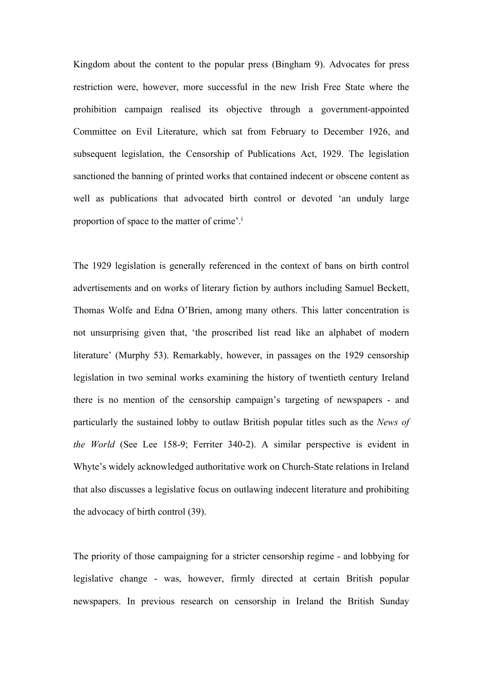Kingdom about the content to the popular press (Bingham 9). Advocates for press restriction were, however, more successful in the new Irish Free State where the prohibition campaign realised its objective through a government-appointed Committee on Evil Literature, which sat from February to December 1926, and subsequent legislation, the Censorship of Publications Act, 1929. The legislation sanctioned the banning of printed works that contained indecent or obscene content as well as publications that advocated birth control or devoted 'an unduly large proportion of space to the matter of crime'.i

The 1929 legislation is generally referenced in the context of bans on birth control advertisements and on works of literary fiction by authors including Samuel Beckett, Thomas Wolfe and Edna O'Brien, among many others. This latter concentration is not unsurprising given that, 'the proscribed list read like an alphabet of modern literature' (Murphy 53). Remarkably, however, in passages on the 1929 censorship legislation in two seminal works examining the history of twentieth century Ireland there is no mention of the censorship campaign's targeting of newspapers - and particularly the sustained lobby to outlaw British popular titles such as the *News of the World* (See Lee 158-9; Ferriter 340-2). A similar perspective is evident in Whyte's widely acknowledged authoritative work on Church-State relations in Ireland that also discusses a legislative focus on outlawing indecent literature and prohibiting the advocacy of birth control (39).

The priority of those campaigning for a stricter censorship regime - and lobbying for legislative change - was, however, firmly directed at certain British popular newspapers. In previous research on censorship in Ireland the British Sunday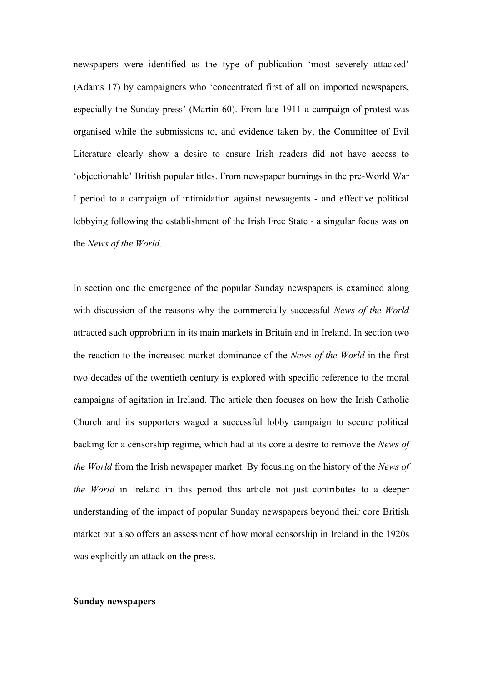newspapers were identified as the type of publication 'most severely attacked' (Adams 17) by campaigners who 'concentrated first of all on imported newspapers, especially the Sunday press' (Martin 60). From late 1911 a campaign of protest was organised while the submissions to, and evidence taken by, the Committee of Evil Literature clearly show a desire to ensure Irish readers did not have access to 'objectionable' British popular titles. From newspaper burnings in the pre-World War I period to a campaign of intimidation against newsagents - and effective political lobbying following the establishment of the Irish Free State - a singular focus was on the *News of the World*.

In section one the emergence of the popular Sunday newspapers is examined along with discussion of the reasons why the commercially successful *News of the World* attracted such opprobrium in its main markets in Britain and in Ireland. In section two the reaction to the increased market dominance of the *News of the World* in the first two decades of the twentieth century is explored with specific reference to the moral campaigns of agitation in Ireland. The article then focuses on how the Irish Catholic Church and its supporters waged a successful lobby campaign to secure political backing for a censorship regime, which had at its core a desire to remove the *News of the World* from the Irish newspaper market. By focusing on the history of the *News of the World* in Ireland in this period this article not just contributes to a deeper understanding of the impact of popular Sunday newspapers beyond their core British market but also offers an assessment of how moral censorship in Ireland in the 1920s was explicitly an attack on the press.

#### **Sunday newspapers**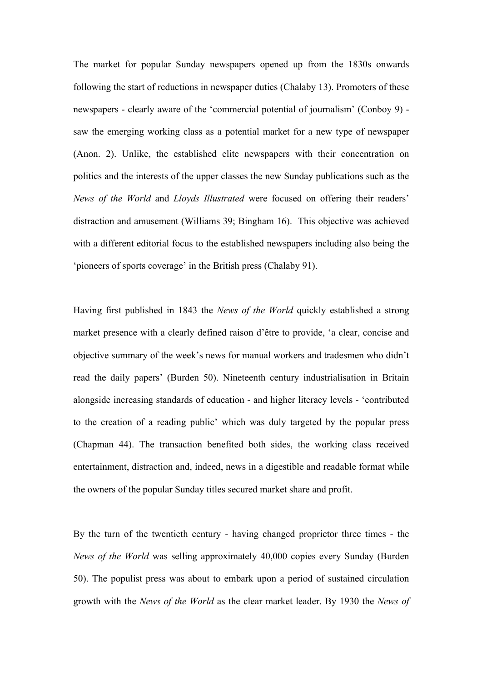The market for popular Sunday newspapers opened up from the 1830s onwards following the start of reductions in newspaper duties (Chalaby 13). Promoters of these newspapers - clearly aware of the 'commercial potential of journalism' (Conboy 9) saw the emerging working class as a potential market for a new type of newspaper (Anon. 2). Unlike, the established elite newspapers with their concentration on politics and the interests of the upper classes the new Sunday publications such as the *News of the World* and *Lloyds Illustrated* were focused on offering their readers' distraction and amusement (Williams 39; Bingham 16). This objective was achieved with a different editorial focus to the established newspapers including also being the 'pioneers of sports coverage' in the British press (Chalaby 91).

Having first published in 1843 the *News of the World* quickly established a strong market presence with a clearly defined raison d'être to provide, 'a clear, concise and objective summary of the week's news for manual workers and tradesmen who didn't read the daily papers' (Burden 50). Nineteenth century industrialisation in Britain alongside increasing standards of education - and higher literacy levels - 'contributed to the creation of a reading public' which was duly targeted by the popular press (Chapman 44). The transaction benefited both sides, the working class received entertainment, distraction and, indeed, news in a digestible and readable format while the owners of the popular Sunday titles secured market share and profit.

By the turn of the twentieth century - having changed proprietor three times - the *News of the World* was selling approximately 40,000 copies every Sunday (Burden 50). The populist press was about to embark upon a period of sustained circulation growth with the *News of the World* as the clear market leader. By 1930 the *News of*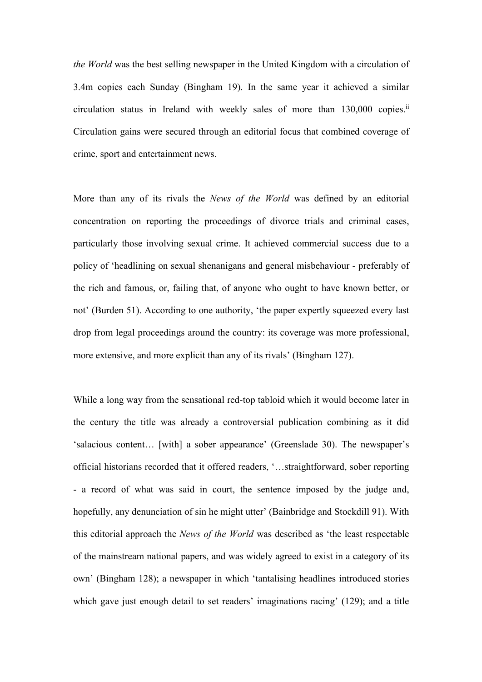*the World* was the best selling newspaper in the United Kingdom with a circulation of 3.4m copies each Sunday (Bingham 19). In the same year it achieved a similar circulation status in Ireland with weekly sales of more than 130,000 copies.<sup>ii</sup> Circulation gains were secured through an editorial focus that combined coverage of crime, sport and entertainment news.

More than any of its rivals the *News of the World* was defined by an editorial concentration on reporting the proceedings of divorce trials and criminal cases, particularly those involving sexual crime. It achieved commercial success due to a policy of 'headlining on sexual shenanigans and general misbehaviour - preferably of the rich and famous, or, failing that, of anyone who ought to have known better, or not' (Burden 51). According to one authority, 'the paper expertly squeezed every last drop from legal proceedings around the country: its coverage was more professional, more extensive, and more explicit than any of its rivals' (Bingham 127).

While a long way from the sensational red-top tabloid which it would become later in the century the title was already a controversial publication combining as it did 'salacious content… [with] a sober appearance' (Greenslade 30). The newspaper's official historians recorded that it offered readers, '…straightforward, sober reporting - a record of what was said in court, the sentence imposed by the judge and, hopefully, any denunciation of sin he might utter' (Bainbridge and Stockdill 91). With this editorial approach the *News of the World* was described as 'the least respectable of the mainstream national papers, and was widely agreed to exist in a category of its own' (Bingham 128); a newspaper in which 'tantalising headlines introduced stories which gave just enough detail to set readers' imaginations racing' (129); and a title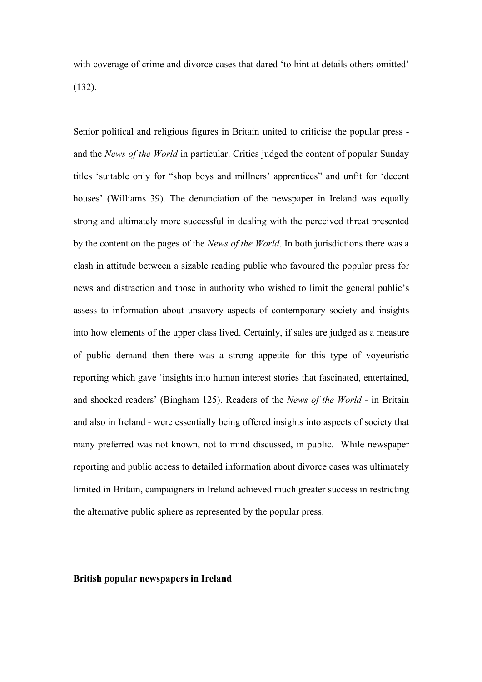with coverage of crime and divorce cases that dared 'to hint at details others omitted' (132).

Senior political and religious figures in Britain united to criticise the popular press and the *News of the World* in particular. Critics judged the content of popular Sunday titles 'suitable only for "shop boys and millners' apprentices" and unfit for 'decent houses' (Williams 39). The denunciation of the newspaper in Ireland was equally strong and ultimately more successful in dealing with the perceived threat presented by the content on the pages of the *News of the World*. In both jurisdictions there was a clash in attitude between a sizable reading public who favoured the popular press for news and distraction and those in authority who wished to limit the general public's assess to information about unsavory aspects of contemporary society and insights into how elements of the upper class lived. Certainly, if sales are judged as a measure of public demand then there was a strong appetite for this type of voyeuristic reporting which gave 'insights into human interest stories that fascinated, entertained, and shocked readers' (Bingham 125). Readers of the *News of the World* - in Britain and also in Ireland - were essentially being offered insights into aspects of society that many preferred was not known, not to mind discussed, in public. While newspaper reporting and public access to detailed information about divorce cases was ultimately limited in Britain, campaigners in Ireland achieved much greater success in restricting the alternative public sphere as represented by the popular press.

### **British popular newspapers in Ireland**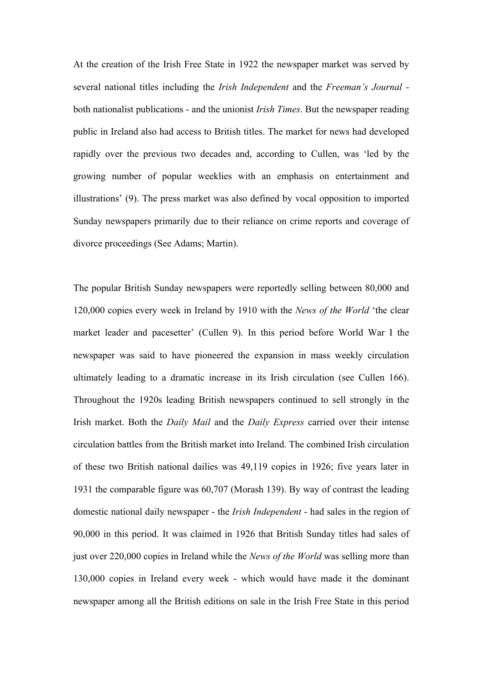At the creation of the Irish Free State in 1922 the newspaper market was served by several national titles including the *Irish Independent* and the *Freeman's Journal* both nationalist publications - and the unionist *Irish Times*. But the newspaper reading public in Ireland also had access to British titles. The market for news had developed rapidly over the previous two decades and, according to Cullen, was 'led by the growing number of popular weeklies with an emphasis on entertainment and illustrations' (9). The press market was also defined by vocal opposition to imported Sunday newspapers primarily due to their reliance on crime reports and coverage of divorce proceedings (See Adams; Martin).

The popular British Sunday newspapers were reportedly selling between 80,000 and 120,000 copies every week in Ireland by 1910 with the *News of the World* 'the clear market leader and pacesetter' (Cullen 9). In this period before World War I the newspaper was said to have pioneered the expansion in mass weekly circulation ultimately leading to a dramatic increase in its Irish circulation (see Cullen 166). Throughout the 1920s leading British newspapers continued to sell strongly in the Irish market. Both the *Daily Mail* and the *Daily Express* carried over their intense circulation battles from the British market into Ireland. The combined Irish circulation of these two British national dailies was 49,119 copies in 1926; five years later in 1931 the comparable figure was 60,707 (Morash 139). By way of contrast the leading domestic national daily newspaper - the *Irish Independent* - had sales in the region of 90,000 in this period. It was claimed in 1926 that British Sunday titles had sales of just over 220,000 copies in Ireland while the *News of the World* was selling more than 130,000 copies in Ireland every week - which would have made it the dominant newspaper among all the British editions on sale in the Irish Free State in this period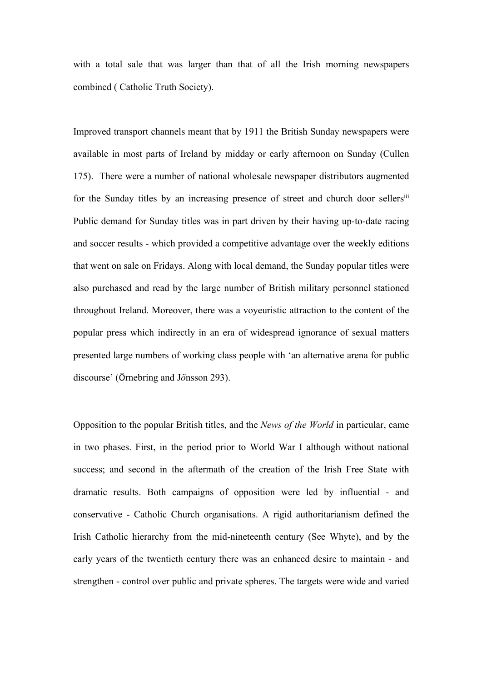with a total sale that was larger than that of all the Irish morning newspapers combined ( Catholic Truth Society).

Improved transport channels meant that by 1911 the British Sunday newspapers were available in most parts of Ireland by midday or early afternoon on Sunday (Cullen 175). There were a number of national wholesale newspaper distributors augmented for the Sunday titles by an increasing presence of street and church door sellersiii Public demand for Sunday titles was in part driven by their having up-to-date racing and soccer results - which provided a competitive advantage over the weekly editions that went on sale on Fridays. Along with local demand, the Sunday popular titles were also purchased and read by the large number of British military personnel stationed throughout Ireland. Moreover, there was a voyeuristic attraction to the content of the popular press which indirectly in an era of widespread ignorance of sexual matters presented large numbers of working class people with 'an alternative arena for public discourse' (Örnebring and J*ö*nsson 293).

Opposition to the popular British titles, and the *News of the World* in particular, came in two phases. First, in the period prior to World War I although without national success; and second in the aftermath of the creation of the Irish Free State with dramatic results. Both campaigns of opposition were led by influential - and conservative - Catholic Church organisations. A rigid authoritarianism defined the Irish Catholic hierarchy from the mid-nineteenth century (See Whyte), and by the early years of the twentieth century there was an enhanced desire to maintain - and strengthen - control over public and private spheres. The targets were wide and varied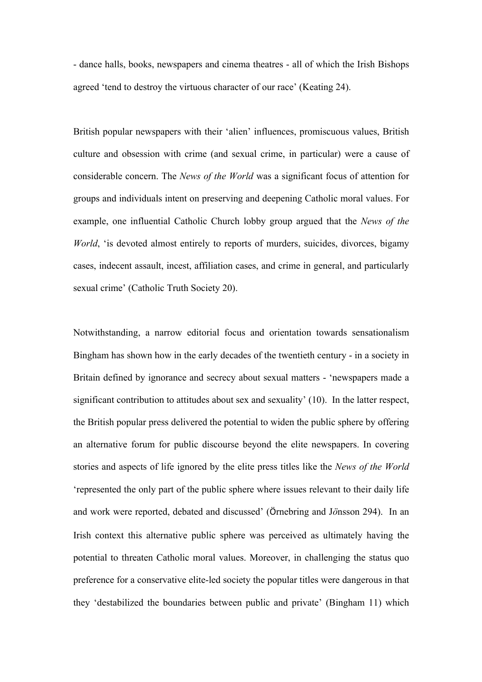- dance halls, books, newspapers and cinema theatres - all of which the Irish Bishops agreed 'tend to destroy the virtuous character of our race' (Keating 24).

British popular newspapers with their 'alien' influences, promiscuous values, British culture and obsession with crime (and sexual crime, in particular) were a cause of considerable concern. The *News of the World* was a significant focus of attention for groups and individuals intent on preserving and deepening Catholic moral values. For example, one influential Catholic Church lobby group argued that the *News of the World*, 'is devoted almost entirely to reports of murders, suicides, divorces, bigamy cases, indecent assault, incest, affiliation cases, and crime in general, and particularly sexual crime' (Catholic Truth Society 20).

Notwithstanding, a narrow editorial focus and orientation towards sensationalism Bingham has shown how in the early decades of the twentieth century - in a society in Britain defined by ignorance and secrecy about sexual matters - 'newspapers made a significant contribution to attitudes about sex and sexuality' (10). In the latter respect, the British popular press delivered the potential to widen the public sphere by offering an alternative forum for public discourse beyond the elite newspapers. In covering stories and aspects of life ignored by the elite press titles like the *News of the World* 'represented the only part of the public sphere where issues relevant to their daily life and work were reported, debated and discussed' (Örnebring and J*ö*nsson 294). In an Irish context this alternative public sphere was perceived as ultimately having the potential to threaten Catholic moral values. Moreover, in challenging the status quo preference for a conservative elite-led society the popular titles were dangerous in that they 'destabilized the boundaries between public and private' (Bingham 11) which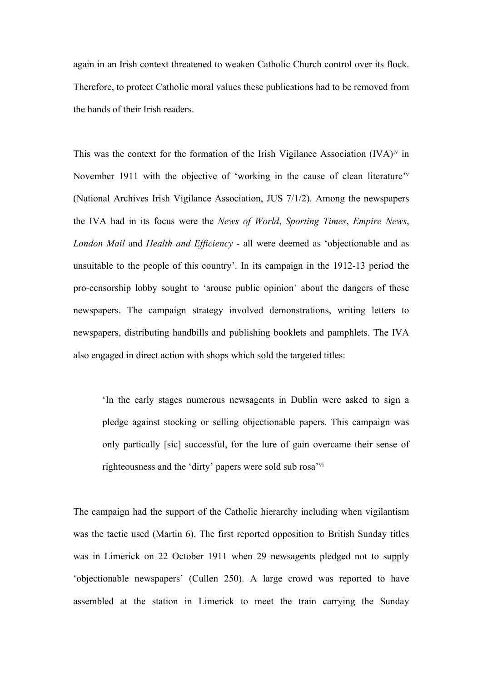again in an Irish context threatened to weaken Catholic Church control over its flock. Therefore, to protect Catholic moral values these publications had to be removed from the hands of their Irish readers.

This was the context for the formation of the Irish Vigilance Association  $(IVA)^{iv}$  in November 1911 with the objective of 'working in the cause of clean literature'<sup>v</sup> (National Archives Irish Vigilance Association, JUS 7/1/2). Among the newspapers the IVA had in its focus were the *News of World*, *Sporting Times*, *Empire News*, *London Mail* and *Health and Efficiency* - all were deemed as 'objectionable and as unsuitable to the people of this country'. In its campaign in the 1912-13 period the pro-censorship lobby sought to 'arouse public opinion' about the dangers of these newspapers. The campaign strategy involved demonstrations, writing letters to newspapers, distributing handbills and publishing booklets and pamphlets. The IVA also engaged in direct action with shops which sold the targeted titles:

'In the early stages numerous newsagents in Dublin were asked to sign a pledge against stocking or selling objectionable papers. This campaign was only partically [sic] successful, for the lure of gain overcame their sense of righteousness and the 'dirty' papers were sold sub rosa'vi

The campaign had the support of the Catholic hierarchy including when vigilantism was the tactic used (Martin 6). The first reported opposition to British Sunday titles was in Limerick on 22 October 1911 when 29 newsagents pledged not to supply 'objectionable newspapers' (Cullen 250). A large crowd was reported to have assembled at the station in Limerick to meet the train carrying the Sunday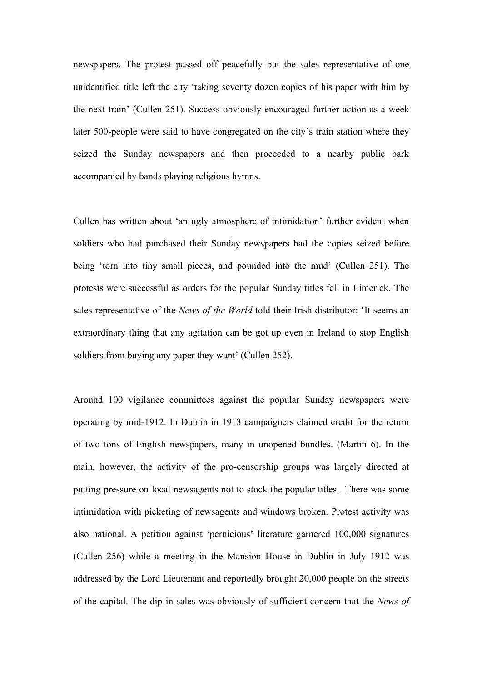newspapers. The protest passed off peacefully but the sales representative of one unidentified title left the city 'taking seventy dozen copies of his paper with him by the next train' (Cullen 251). Success obviously encouraged further action as a week later 500-people were said to have congregated on the city's train station where they seized the Sunday newspapers and then proceeded to a nearby public park accompanied by bands playing religious hymns.

Cullen has written about 'an ugly atmosphere of intimidation' further evident when soldiers who had purchased their Sunday newspapers had the copies seized before being 'torn into tiny small pieces, and pounded into the mud' (Cullen 251). The protests were successful as orders for the popular Sunday titles fell in Limerick. The sales representative of the *News of the World* told their Irish distributor: 'It seems an extraordinary thing that any agitation can be got up even in Ireland to stop English soldiers from buying any paper they want' (Cullen 252).

Around 100 vigilance committees against the popular Sunday newspapers were operating by mid-1912. In Dublin in 1913 campaigners claimed credit for the return of two tons of English newspapers, many in unopened bundles. (Martin 6). In the main, however, the activity of the pro-censorship groups was largely directed at putting pressure on local newsagents not to stock the popular titles. There was some intimidation with picketing of newsagents and windows broken. Protest activity was also national. A petition against 'pernicious' literature garnered 100,000 signatures (Cullen 256) while a meeting in the Mansion House in Dublin in July 1912 was addressed by the Lord Lieutenant and reportedly brought 20,000 people on the streets of the capital. The dip in sales was obviously of sufficient concern that the *News of*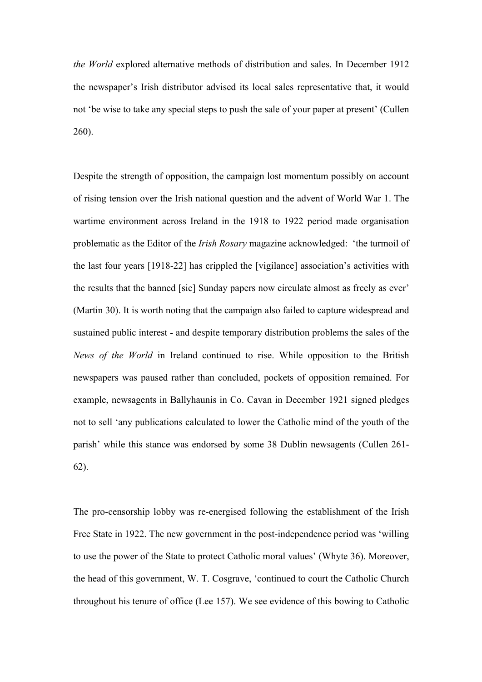*the World* explored alternative methods of distribution and sales. In December 1912 the newspaper's Irish distributor advised its local sales representative that, it would not 'be wise to take any special steps to push the sale of your paper at present' (Cullen 260).

Despite the strength of opposition, the campaign lost momentum possibly on account of rising tension over the Irish national question and the advent of World War 1. The wartime environment across Ireland in the 1918 to 1922 period made organisation problematic as the Editor of the *Irish Rosary* magazine acknowledged: 'the turmoil of the last four years [1918-22] has crippled the [vigilance] association's activities with the results that the banned [sic] Sunday papers now circulate almost as freely as ever' (Martin 30). It is worth noting that the campaign also failed to capture widespread and sustained public interest - and despite temporary distribution problems the sales of the *News of the World* in Ireland continued to rise. While opposition to the British newspapers was paused rather than concluded, pockets of opposition remained. For example, newsagents in Ballyhaunis in Co. Cavan in December 1921 signed pledges not to sell 'any publications calculated to lower the Catholic mind of the youth of the parish' while this stance was endorsed by some 38 Dublin newsagents (Cullen 261- 62).

The pro-censorship lobby was re-energised following the establishment of the Irish Free State in 1922. The new government in the post-independence period was 'willing to use the power of the State to protect Catholic moral values' (Whyte 36). Moreover, the head of this government, W. T. Cosgrave, 'continued to court the Catholic Church throughout his tenure of office (Lee 157). We see evidence of this bowing to Catholic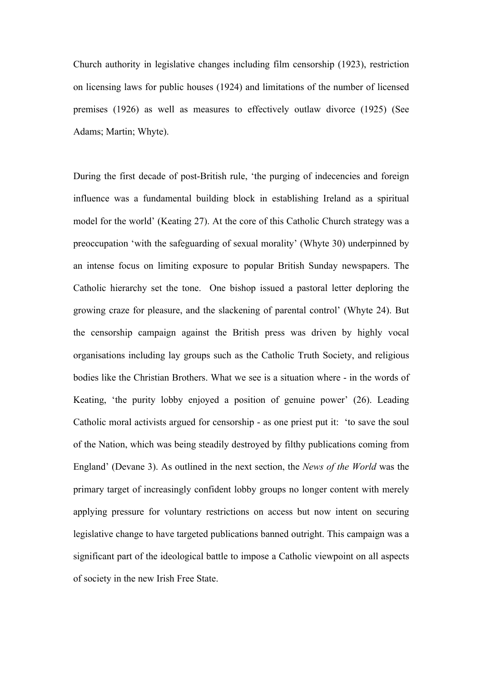Church authority in legislative changes including film censorship (1923), restriction on licensing laws for public houses (1924) and limitations of the number of licensed premises (1926) as well as measures to effectively outlaw divorce (1925) (See Adams; Martin; Whyte).

During the first decade of post-British rule, 'the purging of indecencies and foreign influence was a fundamental building block in establishing Ireland as a spiritual model for the world' (Keating 27). At the core of this Catholic Church strategy was a preoccupation 'with the safeguarding of sexual morality' (Whyte 30) underpinned by an intense focus on limiting exposure to popular British Sunday newspapers. The Catholic hierarchy set the tone. One bishop issued a pastoral letter deploring the growing craze for pleasure, and the slackening of parental control' (Whyte 24). But the censorship campaign against the British press was driven by highly vocal organisations including lay groups such as the Catholic Truth Society, and religious bodies like the Christian Brothers. What we see is a situation where - in the words of Keating, 'the purity lobby enjoyed a position of genuine power' (26). Leading Catholic moral activists argued for censorship - as one priest put it: 'to save the soul of the Nation, which was being steadily destroyed by filthy publications coming from England' (Devane 3). As outlined in the next section, the *News of the World* was the primary target of increasingly confident lobby groups no longer content with merely applying pressure for voluntary restrictions on access but now intent on securing legislative change to have targeted publications banned outright. This campaign was a significant part of the ideological battle to impose a Catholic viewpoint on all aspects of society in the new Irish Free State.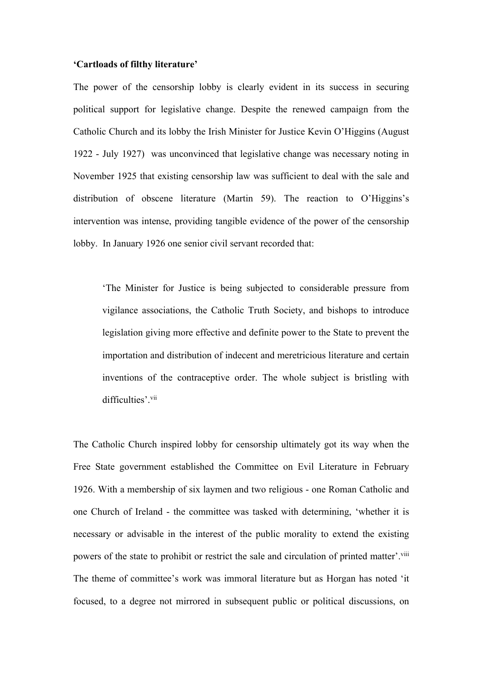## **'Cartloads of filthy literature'**

The power of the censorship lobby is clearly evident in its success in securing political support for legislative change. Despite the renewed campaign from the Catholic Church and its lobby the Irish Minister for Justice Kevin O'Higgins (August 1922 - July 1927) was unconvinced that legislative change was necessary noting in November 1925 that existing censorship law was sufficient to deal with the sale and distribution of obscene literature (Martin 59). The reaction to O'Higgins's intervention was intense, providing tangible evidence of the power of the censorship lobby. In January 1926 one senior civil servant recorded that:

'The Minister for Justice is being subjected to considerable pressure from vigilance associations, the Catholic Truth Society, and bishops to introduce legislation giving more effective and definite power to the State to prevent the importation and distribution of indecent and meretricious literature and certain inventions of the contraceptive order. The whole subject is bristling with difficulties'.<sup>vii</sup>

The Catholic Church inspired lobby for censorship ultimately got its way when the Free State government established the Committee on Evil Literature in February 1926. With a membership of six laymen and two religious - one Roman Catholic and one Church of Ireland - the committee was tasked with determining, 'whether it is necessary or advisable in the interest of the public morality to extend the existing powers of the state to prohibit or restrict the sale and circulation of printed matter'. Vill The theme of committee's work was immoral literature but as Horgan has noted 'it focused, to a degree not mirrored in subsequent public or political discussions, on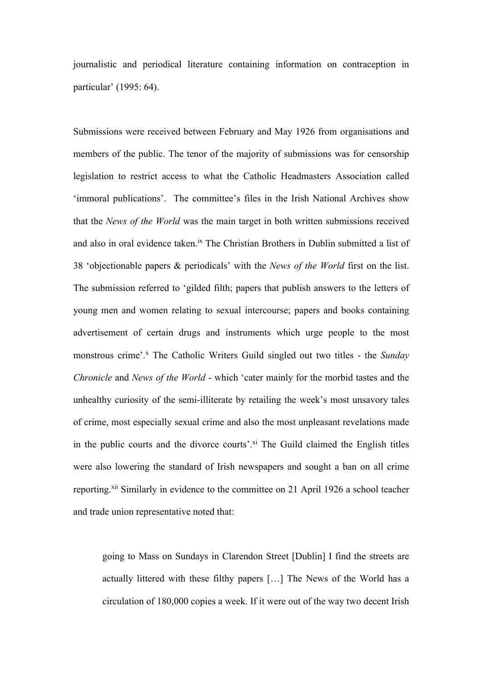journalistic and periodical literature containing information on contraception in particular' (1995: 64).

Submissions were received between February and May 1926 from organisations and members of the public. The tenor of the majority of submissions was for censorship legislation to restrict access to what the Catholic Headmasters Association called 'immoral publications'. The committee's files in the Irish National Archives show that the *News of the World* was the main target in both written submissions received and also in oral evidence taken.<sup>ix</sup> The Christian Brothers in Dublin submitted a list of 38 'objectionable papers & periodicals' with the *News of the World* first on the list. The submission referred to 'gilded filth; papers that publish answers to the letters of young men and women relating to sexual intercourse; papers and books containing advertisement of certain drugs and instruments which urge people to the most monstrous crime'. <sup>x</sup> The Catholic Writers Guild singled out two titles - the *Sunday Chronicle* and *News of the World* - which 'cater mainly for the morbid tastes and the unhealthy curiosity of the semi-illiterate by retailing the week's most unsavory tales of crime, most especially sexual crime and also the most unpleasant revelations made in the public courts and the divorce courts'.<sup>xi</sup> The Guild claimed the English titles were also lowering the standard of Irish newspapers and sought a ban on all crime reporting.<sup>xii</sup> Similarly in evidence to the committee on 21 April 1926 a school teacher and trade union representative noted that:

going to Mass on Sundays in Clarendon Street [Dublin] I find the streets are actually littered with these filthy papers […] The News of the World has a circulation of 180,000 copies a week. If it were out of the way two decent Irish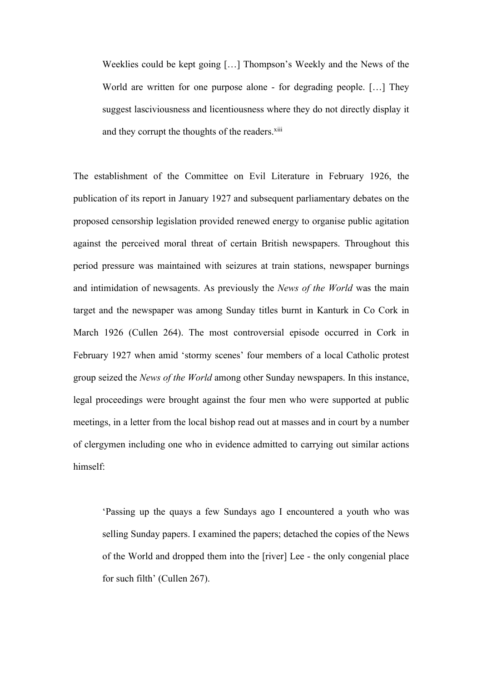Weeklies could be kept going […] Thompson's Weekly and the News of the World are written for one purpose alone - for degrading people. […] They suggest lasciviousness and licentiousness where they do not directly display it and they corrupt the thoughts of the readers.<sup>xiii</sup>

The establishment of the Committee on Evil Literature in February 1926, the publication of its report in January 1927 and subsequent parliamentary debates on the proposed censorship legislation provided renewed energy to organise public agitation against the perceived moral threat of certain British newspapers. Throughout this period pressure was maintained with seizures at train stations, newspaper burnings and intimidation of newsagents. As previously the *News of the World* was the main target and the newspaper was among Sunday titles burnt in Kanturk in Co Cork in March 1926 (Cullen 264). The most controversial episode occurred in Cork in February 1927 when amid 'stormy scenes' four members of a local Catholic protest group seized the *News of the World* among other Sunday newspapers. In this instance, legal proceedings were brought against the four men who were supported at public meetings, in a letter from the local bishop read out at masses and in court by a number of clergymen including one who in evidence admitted to carrying out similar actions himself:

'Passing up the quays a few Sundays ago I encountered a youth who was selling Sunday papers. I examined the papers; detached the copies of the News of the World and dropped them into the [river] Lee - the only congenial place for such filth' (Cullen 267).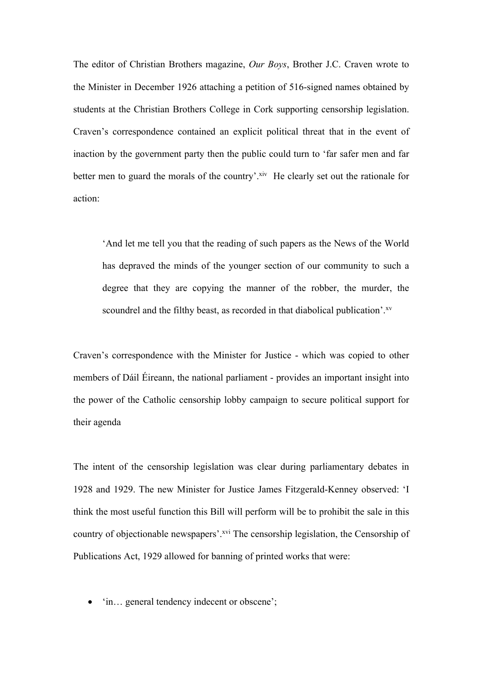The editor of Christian Brothers magazine, *Our Boys*, Brother J.C. Craven wrote to the Minister in December 1926 attaching a petition of 516-signed names obtained by students at the Christian Brothers College in Cork supporting censorship legislation. Craven's correspondence contained an explicit political threat that in the event of inaction by the government party then the public could turn to 'far safer men and far better men to guard the morals of the country'.<sup>xiv</sup> He clearly set out the rationale for action:

'And let me tell you that the reading of such papers as the News of the World has depraved the minds of the younger section of our community to such a degree that they are copying the manner of the robber, the murder, the scoundrel and the filthy beast, as recorded in that diabolical publication'.<sup>xv</sup>

Craven's correspondence with the Minister for Justice - which was copied to other members of Dáil Éireann, the national parliament - provides an important insight into the power of the Catholic censorship lobby campaign to secure political support for their agenda

The intent of the censorship legislation was clear during parliamentary debates in 1928 and 1929. The new Minister for Justice James Fitzgerald-Kenney observed: 'I think the most useful function this Bill will perform will be to prohibit the sale in this country of objectionable newspapers'.<sup>xvi</sup> The censorship legislation, the Censorship of Publications Act, 1929 allowed for banning of printed works that were:

• 'in… general tendency indecent or obscene';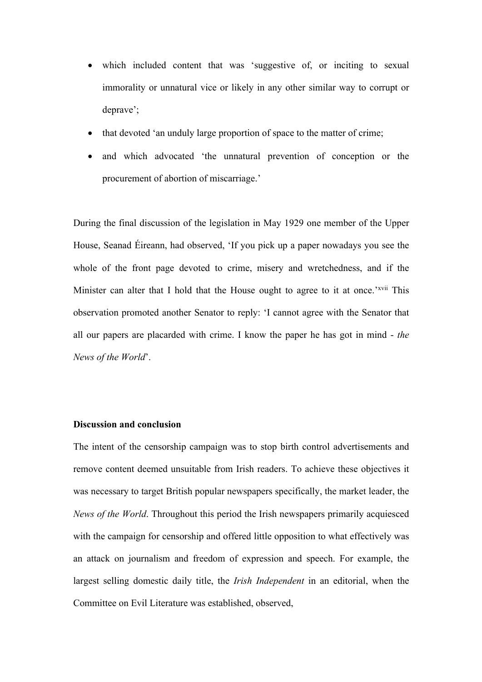- which included content that was 'suggestive of, or inciting to sexual immorality or unnatural vice or likely in any other similar way to corrupt or deprave';
- that devoted 'an unduly large proportion of space to the matter of crime;
- and which advocated 'the unnatural prevention of conception or the procurement of abortion of miscarriage.'

During the final discussion of the legislation in May 1929 one member of the Upper House, Seanad Éireann, had observed, 'If you pick up a paper nowadays you see the whole of the front page devoted to crime, misery and wretchedness, and if the Minister can alter that I hold that the House ought to agree to it at once.'<sup>xvii</sup> This observation promoted another Senator to reply: 'I cannot agree with the Senator that all our papers are placarded with crime. I know the paper he has got in mind - *the News of the World*'.

# **Discussion and conclusion**

The intent of the censorship campaign was to stop birth control advertisements and remove content deemed unsuitable from Irish readers. To achieve these objectives it was necessary to target British popular newspapers specifically, the market leader, the *News of the World*. Throughout this period the Irish newspapers primarily acquiesced with the campaign for censorship and offered little opposition to what effectively was an attack on journalism and freedom of expression and speech. For example, the largest selling domestic daily title, the *Irish Independent* in an editorial, when the Committee on Evil Literature was established, observed,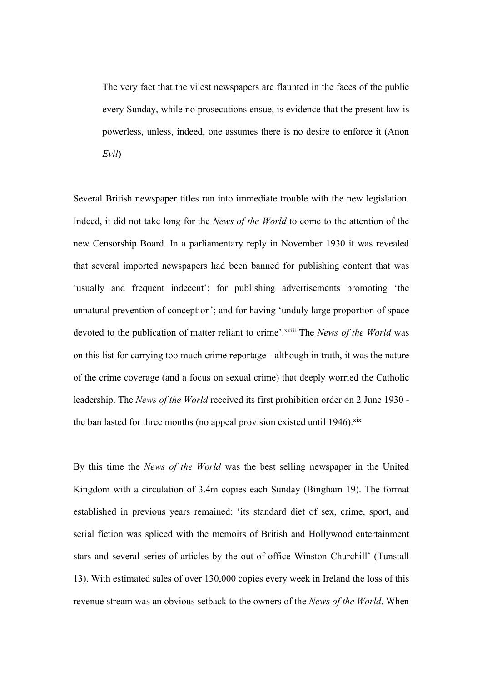The very fact that the vilest newspapers are flaunted in the faces of the public every Sunday, while no prosecutions ensue, is evidence that the present law is powerless, unless, indeed, one assumes there is no desire to enforce it (Anon *Evil*)

Several British newspaper titles ran into immediate trouble with the new legislation. Indeed, it did not take long for the *News of the World* to come to the attention of the new Censorship Board. In a parliamentary reply in November 1930 it was revealed that several imported newspapers had been banned for publishing content that was 'usually and frequent indecent'; for publishing advertisements promoting 'the unnatural prevention of conception'; and for having 'unduly large proportion of space devoted to the publication of matter reliant to crime'.xviii The *News of the World* was on this list for carrying too much crime reportage - although in truth, it was the nature of the crime coverage (and a focus on sexual crime) that deeply worried the Catholic leadership. The *News of the World* received its first prohibition order on 2 June 1930 the ban lasted for three months (no appeal provision existed until  $1946$ ).<sup>xix</sup>

By this time the *News of the World* was the best selling newspaper in the United Kingdom with a circulation of 3.4m copies each Sunday (Bingham 19). The format established in previous years remained: 'its standard diet of sex, crime, sport, and serial fiction was spliced with the memoirs of British and Hollywood entertainment stars and several series of articles by the out-of-office Winston Churchill' (Tunstall 13). With estimated sales of over 130,000 copies every week in Ireland the loss of this revenue stream was an obvious setback to the owners of the *News of the World*. When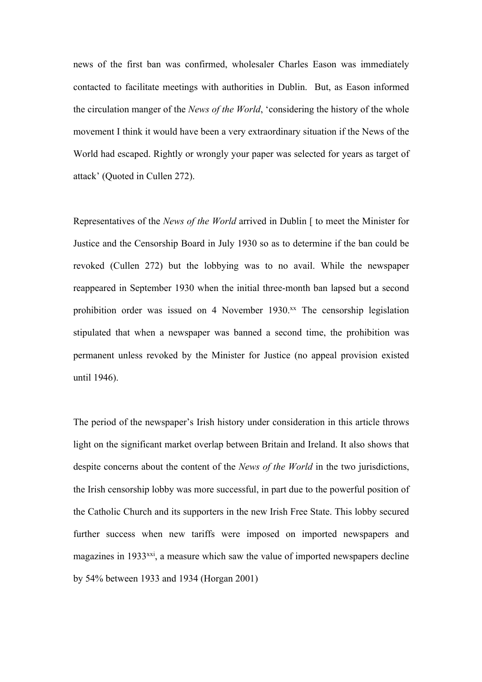news of the first ban was confirmed, wholesaler Charles Eason was immediately contacted to facilitate meetings with authorities in Dublin. But, as Eason informed the circulation manger of the *News of the World*, 'considering the history of the whole movement I think it would have been a very extraordinary situation if the News of the World had escaped. Rightly or wrongly your paper was selected for years as target of attack' (Quoted in Cullen 272).

Representatives of the *News of the World* arrived in Dublin [ to meet the Minister for Justice and the Censorship Board in July 1930 so as to determine if the ban could be revoked (Cullen 272) but the lobbying was to no avail. While the newspaper reappeared in September 1930 when the initial three-month ban lapsed but a second prohibition order was issued on 4 November 1930.<sup>xx</sup> The censorship legislation stipulated that when a newspaper was banned a second time, the prohibition was permanent unless revoked by the Minister for Justice (no appeal provision existed until 1946).

The period of the newspaper's Irish history under consideration in this article throws light on the significant market overlap between Britain and Ireland. It also shows that despite concerns about the content of the *News of the World* in the two jurisdictions, the Irish censorship lobby was more successful, in part due to the powerful position of the Catholic Church and its supporters in the new Irish Free State. This lobby secured further success when new tariffs were imposed on imported newspapers and magazines in 1933<sup>xxi</sup>, a measure which saw the value of imported newspapers decline by 54% between 1933 and 1934 (Horgan 2001)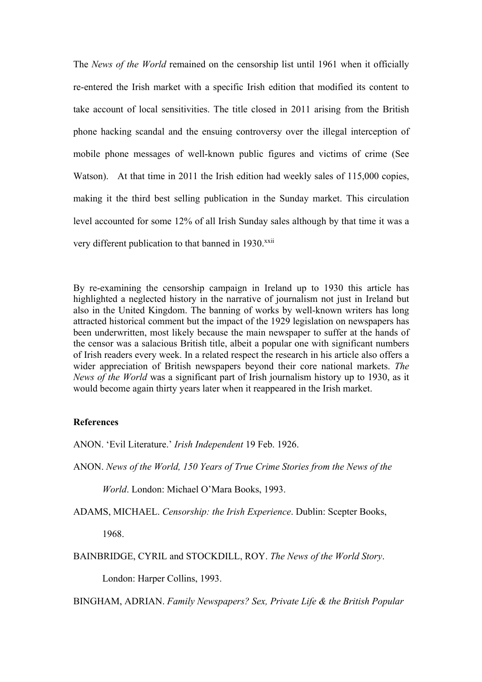The *News of the World* remained on the censorship list until 1961 when it officially re-entered the Irish market with a specific Irish edition that modified its content to take account of local sensitivities. The title closed in 2011 arising from the British phone hacking scandal and the ensuing controversy over the illegal interception of mobile phone messages of well-known public figures and victims of crime (See Watson). At that time in 2011 the Irish edition had weekly sales of 115,000 copies, making it the third best selling publication in the Sunday market. This circulation level accounted for some 12% of all Irish Sunday sales although by that time it was a very different publication to that banned in 1930.<sup>xxii</sup>

By re-examining the censorship campaign in Ireland up to 1930 this article has highlighted a neglected history in the narrative of journalism not just in Ireland but also in the United Kingdom. The banning of works by well-known writers has long attracted historical comment but the impact of the 1929 legislation on newspapers has been underwritten, most likely because the main newspaper to suffer at the hands of the censor was a salacious British title, albeit a popular one with significant numbers of Irish readers every week. In a related respect the research in his article also offers a wider appreciation of British newspapers beyond their core national markets. *The News of the World* was a significant part of Irish journalism history up to 1930, as it would become again thirty years later when it reappeared in the Irish market.

## **References**

ANON. 'Evil Literature.' *Irish Independent* 19 Feb. 1926.

ANON. *News of the World, 150 Years of True Crime Stories from the News of the* 

*World*. London: Michael O'Mara Books, 1993.

ADAMS, MICHAEL. *Censorship: the Irish Experience*. Dublin: Scepter Books,

1968.

BAINBRIDGE, CYRIL and STOCKDILL, ROY. *The News of the World Story*.

London: Harper Collins, 1993.

BINGHAM, ADRIAN. *Family Newspapers? Sex, Private Life & the British Popular*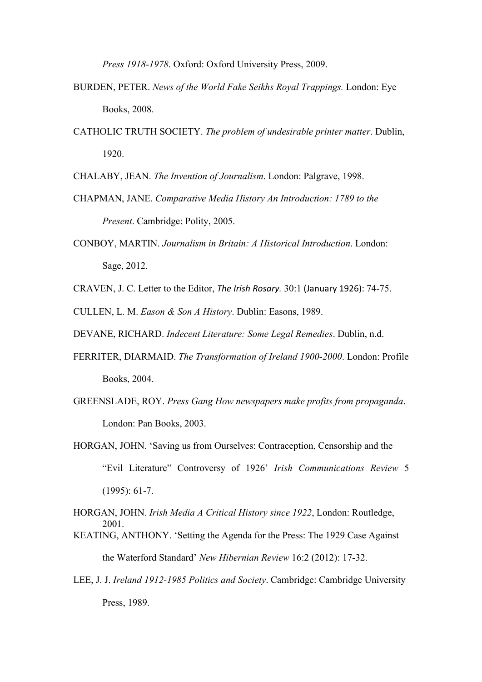*Press 1918-1978*. Oxford: Oxford University Press, 2009.

- BURDEN, PETER. *News of the World Fake Seikhs Royal Trappings.* London: Eye Books, 2008.
- CATHOLIC TRUTH SOCIETY. *The problem of undesirable printer matter*. Dublin, 1920.

CHALABY, JEAN. *The Invention of Journalism*. London: Palgrave, 1998.

- CHAPMAN, JANE. *Comparative Media History An Introduction: 1789 to the Present*. Cambridge: Polity, 2005.
- CONBOY, MARTIN. *Journalism in Britain: A Historical Introduction*. London: Sage, 2012.
- CRAVEN, J. C. Letter to the Editor, *The Irish Rosary.* 30:1 (January 1926): 74-75.

CULLEN, L. M. *Eason & Son A History*. Dublin: Easons, 1989.

- DEVANE, RICHARD. *Indecent Literature: Some Legal Remedies*. Dublin, n.d.
- FERRITER, DIARMAID. *The Transformation of Ireland 1900-2000*. London: Profile Books, 2004.
- GREENSLADE, ROY. *Press Gang How newspapers make profits from propaganda*. London: Pan Books, 2003.
- HORGAN, JOHN. 'Saving us from Ourselves: Contraception, Censorship and the "Evil Literature" Controversy of 1926' *Irish Communications Review* 5 (1995): 61-7.

HORGAN, JOHN. *Irish Media A Critical History since 1922*, London: Routledge, 2001. KEATING, ANTHONY. 'Setting the Agenda for the Press: The 1929 Case Against

the Waterford Standard' *New Hibernian Review* 16:2 (2012): 17-32.

LEE, J. J. *Ireland 1912-1985 Politics and Society*. Cambridge: Cambridge University Press, 1989.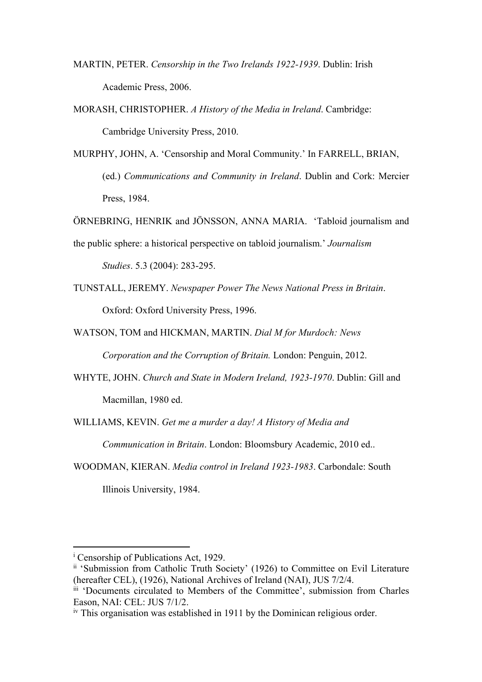- MARTIN, PETER. *Censorship in the Two Irelands 1922-1939*. Dublin: Irish Academic Press, 2006.
- MORASH, CHRISTOPHER. *A History of the Media in Ireland*. Cambridge: Cambridge University Press, 2010.
- MURPHY, JOHN, A. 'Censorship and Moral Community.' In FARRELL, BRIAN, (ed.) *Communications and Community in Ireland*. Dublin and Cork: Mercier Press, 1984.
- ÖRNEBRING, HENRIK and JÖNSSON, ANNA MARIA. 'Tabloid journalism and
- the public sphere: a historical perspective on tabloid journalism.' *Journalism*

*Studies*. 5.3 (2004): 283-295.

- TUNSTALL, JEREMY. *Newspaper Power The News National Press in Britain*. Oxford: Oxford University Press, 1996.
- WATSON, TOM and HICKMAN, MARTIN. *Dial M for Murdoch: News*

*Corporation and the Corruption of Britain.* London: Penguin, 2012.

WHYTE, JOHN. *Church and State in Modern Ireland, 1923-1970*. Dublin: Gill and Macmillan, 1980 ed.

WILLIAMS, KEVIN. *Get me a murder a day! A History of Media and Communication in Britain*. London: Bloomsbury Academic, 2010 ed..

WOODMAN, KIERAN. *Media control in Ireland 1923-1983*. Carbondale: South Illinois University, 1984.

<sup>&</sup>lt;sup>i</sup> Censorship of Publications Act, 1929.

ii 'Submission from Catholic Truth Society' (1926) to Committee on Evil Literature (hereafter CEL), (1926), National Archives of Ireland (NAI), JUS 7/2/4.

iii 'Documents circulated to Members of the Committee', submission from Charles Eason, NAI: CEL: JUS 7/1/2.

iv This organisation was established in 1911 by the Dominican religious order.